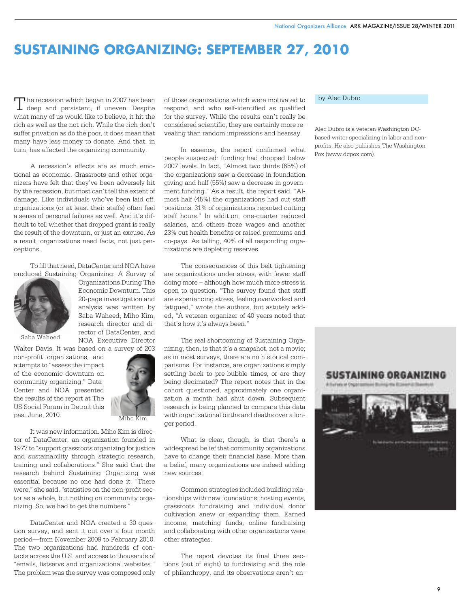## **SUSTAINING ORGANIZING: SEPTEMBER 27, 2010**

The recession which began in 2007 has been<br>deep and persistent, if uneven. Despite The recession which began in 2007 has been what many of us would like to believe, it hit the rich as well as the not-rich. While the rich don't suffer privation as do the poor, it does mean that many have less money to donate. And that, in turn, has affected the organizing community.

A recession's effects are as much emotional as economic. Grassroots and other organizers have felt that they've been adversely hit by the recession, but most can't tell the extent of damage. Like individuals who've been laid off, organizations (or at least their staffs) often feel a sense of personal failures as well. And it's difficult to tell whether that dropped grant is really the result of the downturn, or just an excuse. As a result, organizations need facts, not just perceptions.

To fill that need, DataCenter and NOA have produced Sustaining Organizing: A Survey of



Organizations During The Economic Downturn. This 20-page investigation and analysis was written by Saba Waheed, Miho Kim, research director and director of DataCenter, and NOA Executive Director

Saba Waheed

Walter Davis. It was based on a survey of 203 non-profit organizations, and attempts to "assess the impact of the economic downturn on community organizing." Data-Center and NOA presented the results of the report at The US Social Forum in Detroit this past June, 2010.



Miho Kim

It was new information. Miho Kim is director of DataCenter, an organization founded in 1977 to "support grassroots organizing for justice and sustainability through strategic research, training and collaborations." She said that the research behind Sustaining Organizing was essential because no one had done it. "There were," she said, "statistics on the non-profit sector as a whole, but nothing on community organizing. So, we had to get the numbers."

DataCenter and NOA created a 30-question survey, and sent it out over a four month period—from November 2009 to February 2010. The two organizations had hundreds of contacts across the U.S. and access to thousands of "emails, listservs and organizational websites." The problem was the survey was composed only

of those organizations which were motivated to respond, and who self-identified as qualified for the survey. While the results can't really be considered scientific, they are certainly more revealing than random impressions and hearsay.

In essence, the report confirmed what people suspected: funding had dropped below 2007 levels. In fact, "Almost two thirds (65%) of the organizations saw a decrease in foundation giving and half (55%) saw a decrease in government funding." As a result, the report said, "Almost half (45%) the organizations had cut staff positions. 31% of organizations reported cutting staff hours." In addition, one-quarter reduced salaries, and others froze wages and another 23% cut health benefits or raised premiums and co-pays. As telling, 40% of all responding organizations are depleting reserves.

The consequences of this belt-tightening are organizations under stress, with fewer staff doing more – although how much more stress is open to question. "The survey found that staff are experiencing stress, feeling overworked and fatigued," wrote the authors, but astutely added, "A veteran organizer of 40 years noted that that's how it's always been."

The real shortcoming of Sustaining Organizing, then, is that it's a snapshot, not a movie; as in most surveys, there are no historical comparisons. For instance, are organizations simply settling back to pre-bubble times, or are they being decimated? The report notes that in the cohort questioned, approximately one organization a month had shut down. Subsequent research is being planned to compare this data with organizational births and deaths over a longer period.

What is clear, though, is that there's a widespread belief that community organizations have to change their financial base. More than a belief, many organizations are indeed adding new sources:

Common strategies included building relationships with new foundations; hosting events, grassroots fundraising and individual donor cultivation anew or expanding them. Earned income, matching funds, online fundraising and collaborating with other organizations were other strategies.

The report devotes its final three sections (out of eight) to fundraising and the role of philanthropy, and its observations aren't en-

## by Alec Dubro

Alec Dubro is a veteran Washington DCbased writer specializing in labor and nonprofits. He also publishes The Washington Pox (www.dcpox.com).